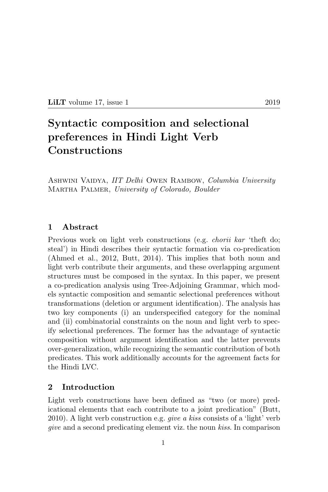$LiLT$  volume 17, issue 1 2019

# Syntactic composition and selectional preferences in Hindi Light Verb Constructions

ASHWINI VAIDYA, IIT Delhi OWEN RAMBOW, Columbia University Martha Palmer, University of Colorado, Boulder

# 1 Abstract

Previous work on light verb constructions (e.g. *chorii kar* 'theft do; steal') in Hindi describes their syntactic formation via co-predication (Ahmed et al., 2012, Butt, 2014). This implies that both noun and light verb contribute their arguments, and these overlapping argument structures must be composed in the syntax. In this paper, we present a co-predication analysis using Tree-Adjoining Grammar, which models syntactic composition and semantic selectional preferences without transformations (deletion or argument identification). The analysis has two key components (i) an underspecified category for the nominal and (ii) combinatorial constraints on the noun and light verb to specify selectional preferences. The former has the advantage of syntactic composition without argument identification and the latter prevents over-generalization, while recognizing the semantic contribution of both predicates. This work additionally accounts for the agreement facts for the Hindi LVC.

## 2 Introduction

Light verb constructions have been defined as "two (or more) predicational elements that each contribute to a joint predication" (Butt, 2010). A light verb construction e.g. *give a kiss* consists of a 'light' verb give and a second predicating element viz. the noun kiss. In comparison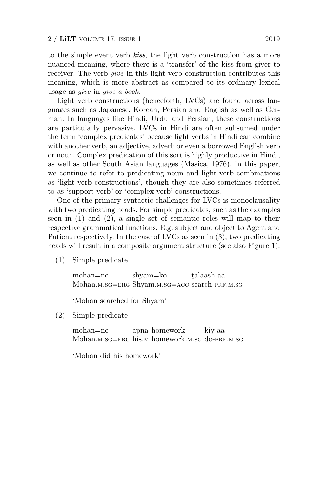to the simple event verb kiss, the light verb construction has a more nuanced meaning, where there is a 'transfer' of the kiss from giver to receiver. The verb *give* in this light verb construction contributes this meaning, which is more abstract as compared to its ordinary lexical usage as give in give a book.

Light verb constructions (henceforth, LVCs) are found across languages such as Japanese, Korean, Persian and English as well as German. In languages like Hindi, Urdu and Persian, these constructions are particularly pervasive. LVCs in Hindi are often subsumed under the term 'complex predicates' because light verbs in Hindi can combine with another verb, an adjective, adverb or even a borrowed English verb or noun. Complex predication of this sort is highly productive in Hindi, as well as other South Asian languages (Masica, 1976). In this paper, we continue to refer to predicating noun and light verb combinations as 'light verb constructions', though they are also sometimes referred to as 'support verb' or 'complex verb' constructions.

One of the primary syntactic challenges for LVCs is monoclausality with two predicating heads. For simple predicates, such as the examples seen in (1) and (2), a single set of semantic roles will map to their respective grammatical functions. E.g. subject and object to Agent and Patient respectively. In the case of LVCs as seen in (3), two predicating heads will result in a composite argument structure (see also Figure 1).

(1) Simple predicate

mohan=ne Mohan.m.sg=ERG Shyam.m.sg=ACC search-PRF.m.sg shyam=ko talaash-aa

'Mohan searched for Shyam'

(2) Simple predicate

mohan=ne Mohan.m.sg=ERG his.m homework.m.sg do-PRF.m.sg apna homework kiy-aa

'Mohan did his homework'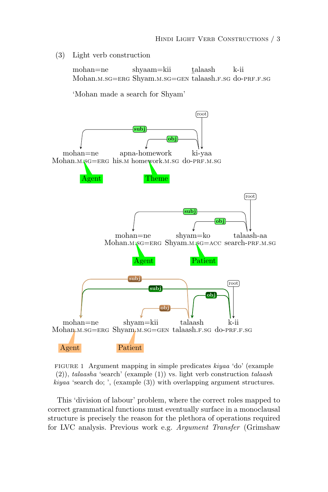(3) Light verb construction

mohan=ne Mohan.m.sg=erg Shyam.m.sg=gen talaash.f.sg do-prf.f.sg shyaam=kii talaash k-ii

'Mohan made a search for Shyam'



FIGURE 1 Argument mapping in simple predicates kiyaa 'do' (example (2)), talaasha 'search' (example (1)) vs. light verb construction talaash kiyaa 'search do; ', (example (3)) with overlapping argument structures.

This 'division of labour' problem, where the correct roles mapped to correct grammatical functions must eventually surface in a monoclausal structure is precisely the reason for the plethora of operations required for LVC analysis. Previous work e.g. Argument Transfer (Grimshaw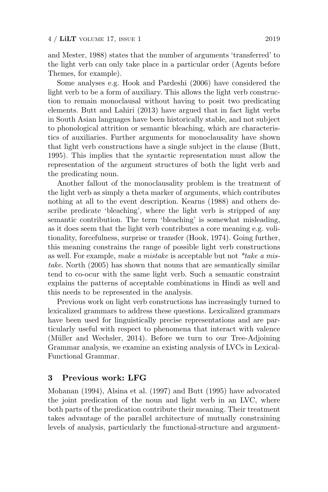and Mester, 1988) states that the number of arguments 'transferred' to the light verb can only take place in a particular order (Agents before Themes, for example).

Some analyses e.g. Hook and Pardeshi (2006) have considered the light verb to be a form of auxiliary. This allows the light verb construction to remain monoclausal without having to posit two predicating elements. Butt and Lahiri (2013) have argued that in fact light verbs in South Asian languages have been historically stable, and not subject to phonological attrition or semantic bleaching, which are characteristics of auxiliaries. Further arguments for monoclausality have shown that light verb constructions have a single subject in the clause (Butt, 1995). This implies that the syntactic representation must allow the representation of the argument structures of both the light verb and the predicating noun.

Another fallout of the monoclausality problem is the treatment of the light verb as simply a theta marker of arguments, which contributes nothing at all to the event description. Kearns (1988) and others describe predicate 'bleaching', where the light verb is stripped of any semantic contribution. The term 'bleaching' is somewhat misleading, as it does seem that the light verb contributes a core meaning e.g. volitionality, forcefulness, surprise or transfer (Hook, 1974). Going further, this meaning constrains the range of possible light verb constructions as well. For example, make a mistake is acceptable but not  $*$ take a mistake. North (2005) has shown that nouns that are semantically similar tend to co-ocur with the same light verb. Such a semantic constraint explains the patterns of acceptable combinations in Hindi as well and this needs to be represented in the analysis.

Previous work on light verb constructions has increasingly turned to lexicalized grammars to address these questions. Lexicalized grammars have been used for linguistically precise representations and are particularly useful with respect to phenomena that interact with valence (Müller and Wechsler, 2014). Before we turn to our Tree-Adjoining Grammar analysis, we examine an existing analysis of LVCs in Lexical-Functional Grammar.

# 3 Previous work: LFG

Mohanan (1994), Alsina et al. (1997) and Butt (1995) have advocated the joint predication of the noun and light verb in an LVC, where both parts of the predication contribute their meaning. Their treatment takes advantage of the parallel architecture of mutually constraining levels of analysis, particularly the functional-structure and argument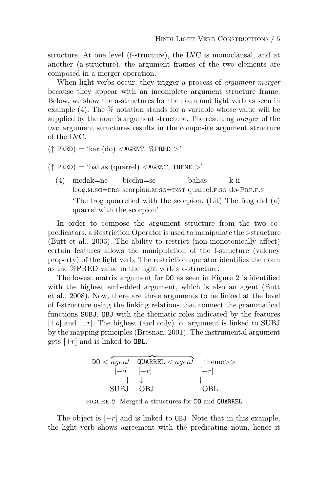structure. At one level (f-structure), the LVC is monoclausal, and at another (a-structure), the argument frames of the two elements are composed in a merger operation.

When light verbs occur, they trigger a process of *argument merger* because they appear with an incomplete argument structure frame. Below, we show the a-structures for the noun and light verb as seen in example  $(4)$ . The  $\%$  notation stands for a variable whose value will be supplied by the noun's argument structure. The resulting merger of the two argument structures results in the composite argument structure of the LVC.

 $(\uparrow$  PRED) = 'kar (do) <AGENT,  $\%$ PRED >'

 $(\uparrow$  PRED) = 'bahas (quarrel) <AGENT, THEME >'

 $(4)$  m $\tilde{e}$ dak=ne frog.m.sg=ERG scorpion.m.sg=INST quarrel.F.sg do-PRF.F.S bicchu=se bahas k-ii 'The frog quarrelled with the scorpion. (Lit) The frog did (a) quarrel with the scorpion'

In order to compose the argument structure from the two copredicators, a Restriction Operator is used to manipulate the f-structure (Butt et al., 2003). The ability to restrict (non-monotonically affect) certain features allows the manipulation of the f-structure (valency property) of the light verb. The restriction operator identifies the noun as the %PRED value in the light verb's a-structure.

The lowest matrix argument for DO as seen in Figure 2 is identified with the highest embedded argument, which is also an agent (Butt et al., 2008). Now, there are three arguments to be linked at the level of f-structure using the linking relations that connect the grammatical functions SUBJ, OBJ with the thematic roles indicated by the features  $[\pm o]$  and  $[\pm r]$ . The highest (and only) [o] argument is linked to SUBJ by the mapping principles (Bresnan, 2001). The instrumental argument gets  $\left\vert +r\right\vert$  and is linked to OBL.



FIGURE 2 Merged a-structures for DO and QUARREL

The object is  $[-r]$  and is linked to **OBJ**. Note that in this example, the light verb shows agreement with the predicating noun, hence it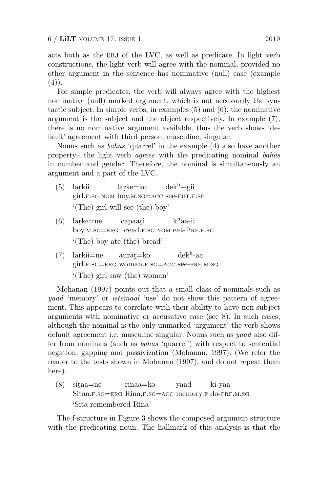acts both as the OBJ of the LVC, as well as predicate. In light verb constructions, the light verb will agree with the nominal, provided no other argument in the sentence has nominative (null) case (example  $(4)$ .

For simple predicates, the verb will always agree with the highest nominative (null) marked argument, which is not necessarily the syntactic subject. In simple verbs, in examples (5) and (6), the nominative argument is the subject and the object respectively. In example (7), there is no nominative argument available, thus the verb shows 'default' agreement with third person, masculine, singular.

Nouns such as bahas 'quarrel' in the example (4) also have another property– the light verb agrees with the predicating nominal bahas in number and gender. Therefore, the nominal is simultaneously an argument and a part of the LVC.

- $(5)$  larkii girl.f.sg.nom boy.m.sg=ACC see-fut.f.sg  $larke=ko$ dek<sup>h</sup> -egii '(The) girl will see (the) boy'
- $(6)$  larke=ne boy.m.sg=ERG bread.F.sg.NOM eat-PRF.F.sg capaati k <sup>h</sup>aa-ii '(The) boy ate (the) bread'
- $(7)$  larkii=ne girl.f.sg=erg woman.f.sg=acc see-prf.m.sg  $aurat = ko$  $d$ ek $^{\rm h}$ -aa '(The) girl saw (the) woman'

Mohanan (1997) points out that a small class of nominals such as yaad 'memory' or *istemaal* 'use' do not show this pattern of agreement. This appears to correlate with their ability to have non-subject arguments with nominative or accusative case (see 8). In such cases, although the nominal is the only unmarked 'argument' the verb shows default agreement i.e. masculine singular. Nouns such as yaad also differ from nominals (such as bahas 'quarrel') with respect to sentential negation, gapping and passivization (Mohanan, 1997). (We refer the reader to the tests shown in Mohanan (1997), and do not repeat them here).

 $(8)$  sitaa=ne Sitaa.f.sg=erg Rina.f.sg=ACC memory.f do-PRF.M.sg rinaa=ko yaad ki-yaa 'Sita remembered Rina'

The f-structure in Figure 3 shows the composed argument structure with the predicating noun. The hallmark of this analysis is that the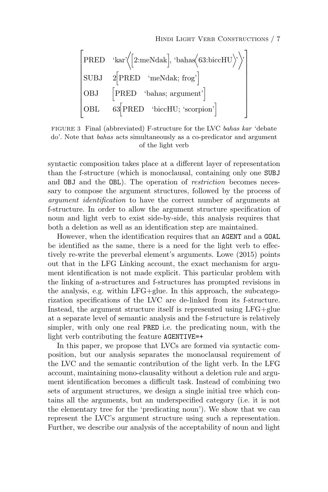| $\begin{bmatrix}\n \text{PRED} & \text{kar}\left\langle \left[2:\text{meNdak}\right], \text{ 'bahas}\left\langle 63:\text{biccHU}\right\rangle \right\rangle \\ \text{SUBJ} & 2\left[\text{PRED} & \text{`meNdak; frog'}\right] \\ \text{OBJ} & \left[\text{PRED} & \text{`bahas; argument'}\right] \\ \text{OBL} & 63\left[\text{PRED} & \text{biccHU; 'scorpion'}\right]\n \end{bmatrix}$ |
|---------------------------------------------------------------------------------------------------------------------------------------------------------------------------------------------------------------------------------------------------------------------------------------------------------------------------------------------------------------------------------------------|
|---------------------------------------------------------------------------------------------------------------------------------------------------------------------------------------------------------------------------------------------------------------------------------------------------------------------------------------------------------------------------------------------|

FIGURE 3 Final (abbreviated) F-structure for the LVC bahas kar 'debate do'. Note that bahas acts simultaneously as a co-predicator and argument of the light verb

syntactic composition takes place at a different layer of representation than the f-structure (which is monoclausal, containing only one SUBJ and OBJ and the OBL). The operation of *restriction* becomes necessary to compose the argument structures, followed by the process of argument identification to have the correct number of arguments at f-structure. In order to allow the argument structure specification of noun and light verb to exist side-by-side, this analysis requires that both a deletion as well as an identification step are maintained.

However, when the identification requires that an AGENT and a GOAL be identified as the same, there is a need for the light verb to effectively re-write the preverbal element's arguments. Lowe (2015) points out that in the LFG Linking account, the exact mechanism for argument identification is not made explicit. This particular problem with the linking of a-structures and f-structures has prompted revisions in the analysis, e.g. within LFG+glue. In this approach, the subcategorization specifications of the LVC are de-linked from its f-structure. Instead, the argument structure itself is represented using LFG+glue at a separate level of semantic analysis and the f-structure is relatively simpler, with only one real PRED i.e. the predicating noun, with the light verb contributing the feature AGENTIVE=+

In this paper, we propose that LVCs are formed via syntactic composition, but our analysis separates the monoclausal requirement of the LVC and the semantic contribution of the light verb. In the LFG account, maintaining mono-clausality without a deletion rule and argument identification becomes a difficult task. Instead of combining two sets of argument structures, we design a single initial tree which contains all the arguments, but an underspecified category (i.e. it is not the elementary tree for the 'predicating noun'). We show that we can represent the LVC's argument structure using such a representation. Further, we describe our analysis of the acceptability of noun and light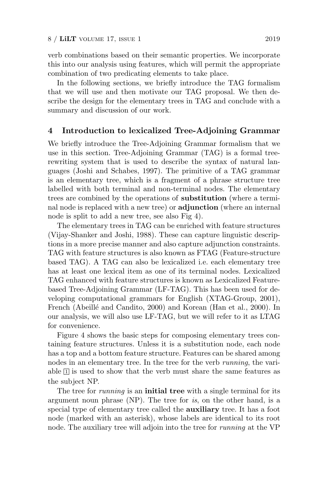verb combinations based on their semantic properties. We incorporate this into our analysis using features, which will permit the appropriate combination of two predicating elements to take place.

In the following sections, we briefly introduce the TAG formalism that we will use and then motivate our TAG proposal. We then describe the design for the elementary trees in TAG and conclude with a summary and discussion of our work.

#### 4 Introduction to lexicalized Tree-Adjoining Grammar

We briefly introduce the Tree-Adjoining Grammar formalism that we use in this section. Tree-Adjoining Grammar (TAG) is a formal treerewriting system that is used to describe the syntax of natural languages (Joshi and Schabes, 1997). The primitive of a TAG grammar is an elementary tree, which is a fragment of a phrase structure tree labelled with both terminal and non-terminal nodes. The elementary trees are combined by the operations of substitution (where a terminal node is replaced with a new tree) or **adjunction** (where an internal node is split to add a new tree, see also Fig 4).

The elementary trees in TAG can be enriched with feature structures (Vijay-Shanker and Joshi, 1988). These can capture linguistic descriptions in a more precise manner and also capture adjunction constraints. TAG with feature structures is also known as FTAG (Feature-structure based TAG). A TAG can also be lexicalized i.e. each elementary tree has at least one lexical item as one of its terminal nodes. Lexicalized TAG enhanced with feature structures is known as Lexicalized Featurebased Tree-Adjoining Grammar (LF-TAG). This has been used for developing computational grammars for English (XTAG-Group, 2001), French (Abeillé and Candito, 2000) and Korean (Han et al., 2000). In our analysis, we will also use LF-TAG, but we will refer to it as LTAG for convenience.

Figure 4 shows the basic steps for composing elementary trees containing feature structures. Unless it is a substitution node, each node has a top and a bottom feature structure. Features can be shared among nodes in an elementary tree. In the tree for the verb *running*, the variable  $\mathbb{I}$  is used to show that the verb must share the same features as the subject NP.

The tree for *running* is an **initial tree** with a single terminal for its argument noun phrase (NP). The tree for is, on the other hand, is a special type of elementary tree called the **auxiliary** tree. It has a foot node (marked with an asterisk), whose labels are identical to its root node. The auxiliary tree will adjoin into the tree for running at the VP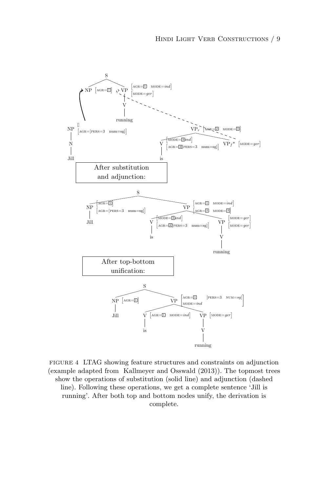

FIGURE 4 LTAG showing feature structures and constraints on adjunction (example adapted from Kallmeyer and Osswald (2013)). The topmost trees show the operations of substitution (solid line) and adjunction (dashed line). Following these operations, we get a complete sentence 'Jill is running'. After both top and bottom nodes unify, the derivation is complete.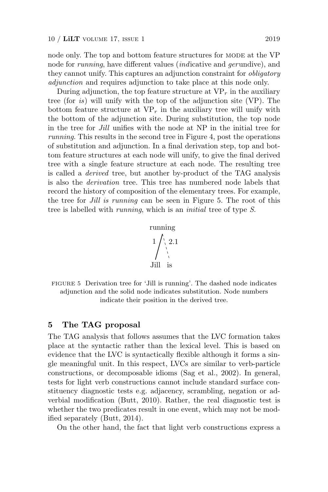node only. The top and bottom feature structures for MODE at the VP node for running, have different values (indicative and gerundive), and they cannot unify. This captures an adjunction constraint for obligatory adjunction and requires adjunction to take place at this node only.

During adjunction, the top feature structure at  $VP<sub>r</sub>$  in the auxiliary tree (for is) will unify with the top of the adjunction site (VP). The bottom feature structure at  $VP_r$  in the auxiliary tree will unify with the bottom of the adjunction site. During substitution, the top node in the tree for Jill unifies with the node at NP in the initial tree for running. This results in the second tree in Figure 4, post the operations of substitution and adjunction. In a final derivation step, top and bottom feature structures at each node will unify, to give the final derived tree with a single feature structure at each node. The resulting tree is called a derived tree, but another by-product of the TAG analysis is also the derivation tree. This tree has numbered node labels that record the history of composition of the elementary trees. For example, the tree for *Jill is running* can be seen in Figure 5. The root of this tree is labelled with running, which is an initial tree of type S.

running

\n
$$
1 / \sqrt{\frac{2.1}{1}}
$$
\nJill is

FIGURE 5 Derivation tree for 'Jill is running'. The dashed node indicates adjunction and the solid node indicates substitution. Node numbers indicate their position in the derived tree.

#### 5 The TAG proposal

The TAG analysis that follows assumes that the LVC formation takes place at the syntactic rather than the lexical level. This is based on evidence that the LVC is syntactically flexible although it forms a single meaningful unit. In this respect, LVCs are similar to verb-particle constructions, or decomposable idioms (Sag et al., 2002). In general, tests for light verb constructions cannot include standard surface constituency diagnostic tests e.g. adjacency, scrambling, negation or adverbial modification (Butt, 2010). Rather, the real diagnostic test is whether the two predicates result in one event, which may not be modified separately (Butt, 2014).

On the other hand, the fact that light verb constructions express a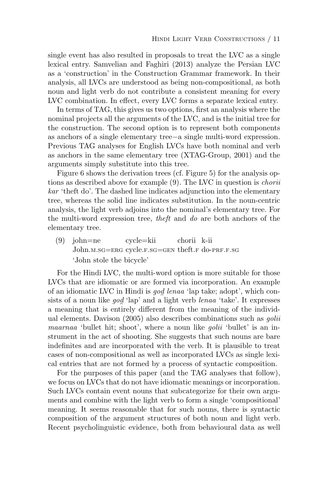single event has also resulted in proposals to treat the LVC as a single lexical entry. Samvelian and Faghiri (2013) analyze the Persian LVC as a 'construction' in the Construction Grammar framework. In their analysis, all LVCs are understood as being non-compositional, as both noun and light verb do not contribute a consistent meaning for every LVC combination. In effect, every LVC forms a separate lexical entry.

In terms of TAG, this gives us two options, first an analysis where the nominal projects all the arguments of the LVC, and is the initial tree for the construction. The second option is to represent both components as anchors of a single elementary tree−a single multi-word expression. Previous TAG analyses for English LVCs have both nominal and verb as anchors in the same elementary tree (XTAG-Group, 2001) and the arguments simply substitute into this tree.

Figure 6 shows the derivation trees (cf. Figure 5) for the analysis options as described above for example (9). The LVC in question is chorii kar 'theft do'. The dashed line indicates adjunction into the elementary tree, whereas the solid line indicates substitution. In the noun-centric analysis, the light verb adjoins into the nominal's elementary tree. For the multi-word expression tree, theft and do are both anchors of the elementary tree.

(9) john=ne John.m.sg=ERG cycle.f.sg=GEN theft.f do-PRF.f.sg cycle=kii chorii k-ii 'John stole the bicycle'

For the Hindi LVC, the multi-word option is more suitable for those LVCs that are idiomatic or are formed via incorporation. An example of an idiomatic LVC in Hindi is  $\gcd$  lenaa 'lap take; adopt', which consists of a noun like god 'lap' and a light verb *lenaa* 'take'. It expresses a meaning that is entirely different from the meaning of the individual elements. Davison (2005) also describes combinations such as golii maarnaa 'bullet hit; shoot', where a noun like golii 'bullet' is an instrument in the act of shooting. She suggests that such nouns are bare indefinites and are incorporated with the verb. It is plausible to treat cases of non-compositional as well as incorporated LVCs as single lexical entries that are not formed by a process of syntactic composition.

For the purposes of this paper (and the TAG analyses that follow), we focus on LVCs that do not have idiomatic meanings or incorporation. Such LVCs contain event nouns that subcategorize for their own arguments and combine with the light verb to form a single 'compositional' meaning. It seems reasonable that for such nouns, there is syntactic composition of the argument structures of both noun and light verb. Recent psycholinguistic evidence, both from behavioural data as well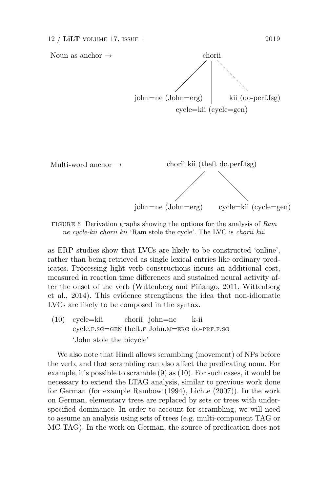

FIGURE 6 Derivation graphs showing the options for the analysis of Ram ne cycle-kii chorii kii 'Ram stole the cycle'. The LVC is chorii kii.

as ERP studies show that LVCs are likely to be constructed 'online', rather than being retrieved as single lexical entries like ordinary predicates. Processing light verb constructions incurs an additional cost, measured in reaction time differences and sustained neural activity after the onset of the verb (Wittenberg and Piñango, 2011, Wittenberg et al., 2014). This evidence strengthens the idea that non-idiomatic LVCs are likely to be composed in the syntax.

(10) cycle=kii cycle.f.sg=gen theft.f John.m=erg do-prf.f.sg chorii john=ne k-ii 'John stole the bicycle'

We also note that Hindi allows scrambling (movement) of NPs before the verb, and that scrambling can also affect the predicating noun. For example, it's possible to scramble (9) as (10). For such cases, it would be necessary to extend the LTAG analysis, similar to previous work done for German (for example Rambow (1994), Lichte (2007)). In the work on German, elementary trees are replaced by sets or trees with underspecified dominance. In order to account for scrambling, we will need to assume an analysis using sets of trees (e.g. multi-component TAG or MC-TAG). In the work on German, the source of predication does not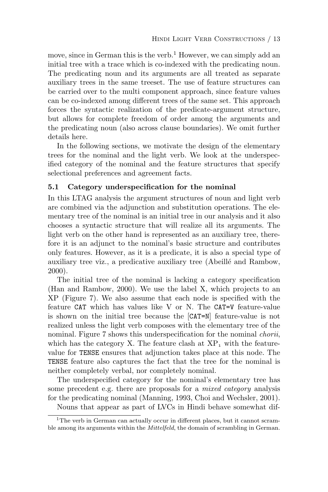move, since in German this is the verb.<sup>1</sup> However, we can simply add an initial tree with a trace which is co-indexed with the predicating noun. The predicating noun and its arguments are all treated as separate auxiliary trees in the same treeset. The use of feature structures can be carried over to the multi component approach, since feature values can be co-indexed among different trees of the same set. This approach forces the syntactic realization of the predicate-argument structure, but allows for complete freedom of order among the arguments and the predicating noun (also across clause boundaries). We omit further details here.

In the following sections, we motivate the design of the elementary trees for the nominal and the light verb. We look at the underspecified category of the nominal and the feature structures that specify selectional preferences and agreement facts.

# 5.1 Category underspecification for the nominal

In this LTAG analysis the argument structures of noun and light verb are combined via the adjunction and substitution operations. The elementary tree of the nominal is an initial tree in our analysis and it also chooses a syntactic structure that will realize all its arguments. The light verb on the other hand is represented as an auxiliary tree, therefore it is an adjunct to the nominal's basic structure and contributes only features. However, as it is a predicate, it is also a special type of auxiliary tree viz., a predicative auxiliary tree (Abeill´e and Rambow, 2000).

The initial tree of the nominal is lacking a category specification (Han and Rambow, 2000). We use the label X, which projects to an XP (Figure 7). We also assume that each node is specified with the feature CAT which has values like V or N. The CAT=V feature-value is shown on the initial tree because the [CAT=N] feature-value is not realized unless the light verb composes with the elementary tree of the nominal. Figure 7 shows this underspecification for the nominal *chorii*, which has the category X. The feature clash at  $XP_1$  with the featurevalue for TENSE ensures that adjunction takes place at this node. The TENSE feature also captures the fact that the tree for the nominal is neither completely verbal, nor completely nominal.

The underspecified category for the nominal's elementary tree has some precedent e.g. there are proposals for a *mixed category* analysis for the predicating nominal (Manning, 1993, Choi and Wechsler, 2001).

Nouns that appear as part of LVCs in Hindi behave somewhat dif-

<sup>&</sup>lt;sup>1</sup>The verb in German can actually occur in different places, but it cannot scramble among its arguments within the Mittelfeld, the domain of scrambling in German.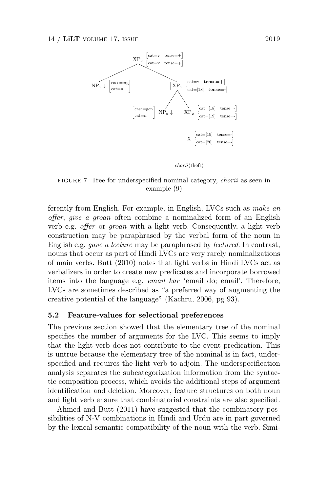

FIGURE 7 Tree for underspecified nominal category, chorii as seen in example (9)

ferently from English. For example, in English, LVCs such as make an offer, give a groan often combine a nominalized form of an English verb e.g. offer or groan with a light verb. Consequently, a light verb construction may be paraphrased by the verbal form of the noun in English e.g. gave a lecture may be paraphrased by lectured. In contrast, nouns that occur as part of Hindi LVCs are very rarely nominalizations of main verbs. Butt (2010) notes that light verbs in Hindi LVCs act as verbalizers in order to create new predicates and incorporate borrowed items into the language e.g. email kar 'email do; email'. Therefore, LVCs are sometimes described as "a preferred way of augmenting the creative potential of the language" (Kachru, 2006, pg 93).

# 5.2 Feature-values for selectional preferences

The previous section showed that the elementary tree of the nominal specifies the number of arguments for the LVC. This seems to imply that the light verb does not contribute to the event predication. This is untrue because the elementary tree of the nominal is in fact, underspecified and requires the light verb to adjoin. The underspecification analysis separates the subcategorization information from the syntactic composition process, which avoids the additional steps of argument identification and deletion. Moreover, feature structures on both noun and light verb ensure that combinatorial constraints are also specified.

Ahmed and Butt (2011) have suggested that the combinatory possibilities of N-V combinations in Hindi and Urdu are in part governed by the lexical semantic compatibility of the noun with the verb. Simi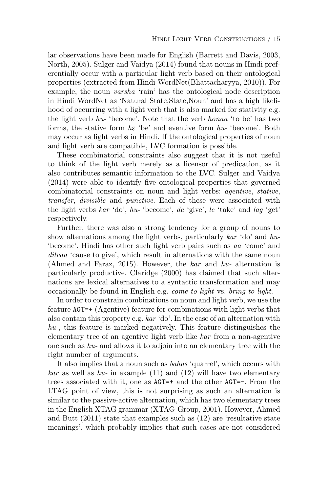lar observations have been made for English (Barrett and Davis, 2003, North, 2005). Sulger and Vaidya (2014) found that nouns in Hindi preferentially occur with a particular light verb based on their ontological properties (extracted from Hindi WordNet(Bhattacharyya, 2010)). For example, the noun varsha 'rain' has the ontological node description in Hindi WordNet as 'Natural State,State,Noun' and has a high likelihood of occurring with a light verb that is also marked for stativity e.g. the light verb  $hu$ - 'become'. Note that the verb  $honaa$  'to be' has two forms, the stative form  $h\varepsilon$  'be' and eventive form  $hu$ - 'become'. Both may occur as light verbs in Hindi. If the ontological properties of noun and light verb are compatible, LVC formation is possible.

These combinatorial constraints also suggest that it is not useful to think of the light verb merely as a licensor of predication, as it also contributes semantic information to the LVC. Sulger and Vaidya (2014) were able to identify five ontological properties that governed combinatorial constraints on noun and light verbs: agentive, stative, transfer, divisible and punctive. Each of these were associated with the light verbs kar 'do', hu- 'become', de 'give', le 'take' and lag 'get' respectively.

Further, there was also a strong tendency for a group of nouns to show alternations among the light verbs, particularly kar 'do' and hu- 'become'. Hindi has other such light verb pairs such as aa 'come' and dilvaa 'cause to give', which result in alternations with the same noun (Ahmed and Faraz, 2015). However, the kar and hu- alternation is particularly productive. Claridge (2000) has claimed that such alternations are lexical alternatives to a syntactic transformation and may occasionally be found in English e.g. come to light vs. bring to light.

In order to constrain combinations on noun and light verb, we use the feature AGT=+ (Agentive) feature for combinations with light verbs that also contain this property e.g. kar 'do'. In the case of an alternation with  $hu$ , this feature is marked negatively. This feature distinguishes the elementary tree of an agentive light verb like kar from a non-agentive one such as hu- and allows it to adjoin into an elementary tree with the right number of arguments.

It also implies that a noun such as bahas 'quarrel', which occurs with  $kar$  as well as  $hu$ - in example (11) and (12) will have two elementary trees associated with it, one as AGT=+ and the other AGT=-. From the LTAG point of view, this is not surprising as such an alternation is similar to the passive-active alternation, which has two elementary trees in the English XTAG grammar (XTAG-Group, 2001). However, Ahmed and Butt (2011) state that examples such as (12) are 'resultative state meanings', which probably implies that such cases are not considered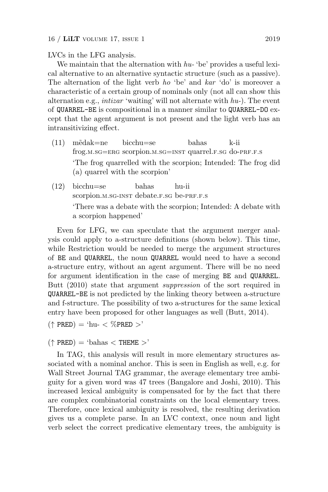LVCs in the LFG analysis.

We maintain that the alternation with  $hu$ - 'be' provides a useful lexical alternative to an alternative syntactic structure (such as a passive). The alternation of the light verb ho 'be' and kar 'do' is moreover a characteristic of a certain group of nominals only (not all can show this alternation e.g., intizar 'waiting' will not alternate with hu-). The event of QUARREL-BE is compositional in a manner similar to QUARREL-DO except that the agent argument is not present and the light verb has an intransitivizing effect.

- (11) m˜edak=ne frog.m.sg=ERG scorpion.m.sg=INST quarrel.F.SG do-PRF.F.S bicchu=se bahas k-ii 'The frog quarrelled with the scorpion; Intended: The frog did (a) quarrel with the scorpion'
- (12) bicchu=se scorpion.m.sg-INST debate.f.sg be-PRF.F.S bahas hu-ii 'There was a debate with the scorpion; Intended: A debate with a scorpion happened'

Even for LFG, we can speculate that the argument merger analysis could apply to a-structure definitions (shown below). This time, while Restriction would be needed to merge the argument structures of BE and QUARREL, the noun QUARREL would need to have a second a-structure entry, without an agent argument. There will be no need for argument identification in the case of merging BE and QUARREL. Butt (2010) state that argument suppression of the sort required in QUARREL-BE is not predicted by the linking theory between a-structure and f-structure. The possibility of two a-structures for the same lexical entry have been proposed for other languages as well (Butt, 2014).

 $(\uparrow$  PRED) = 'hu- < %PRED >'

 $(\uparrow$  PRED) = 'bahas  $\lt$  THEME  $>$ '

In TAG, this analysis will result in more elementary structures associated with a nominal anchor. This is seen in English as well, e.g. for Wall Street Journal TAG grammar, the average elementary tree ambiguity for a given word was 47 trees (Bangalore and Joshi, 2010). This increased lexical ambiguity is compensated for by the fact that there are complex combinatorial constraints on the local elementary trees. Therefore, once lexical ambiguity is resolved, the resulting derivation gives us a complete parse. In an LVC context, once noun and light verb select the correct predicative elementary trees, the ambiguity is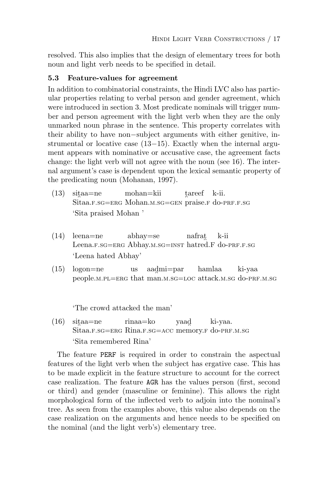resolved. This also implies that the design of elementary trees for both noun and light verb needs to be specified in detail.

## 5.3 Feature-values for agreement

In addition to combinatorial constraints, the Hindi LVC also has particular properties relating to verbal person and gender agreement, which were introduced in section 3. Most predicate nominals will trigger number and person agreement with the light verb when they are the only unmarked noun phrase in the sentence. This property correlates with their ability to have non−subject arguments with either genitive, instrumental or locative case (13−15). Exactly when the internal argument appears with nominative or accusative case, the agreement facts change: the light verb will not agree with the noun (see 16). The internal argument's case is dependent upon the lexical semantic property of the predicating noun (Mohanan, 1997).

- $(13)$  sitaa=ne Sitaa.f.sg=erg Mohan.m.sg=gen praise.f do-prf.f.sg mohan=kii tareef k-ii. 'Sita praised Mohan '
- (14) leena=ne Leena.f.sg=ERG Abhay.m.sg=INST hatred.F do-PRF.f.sg abhay=se nafrat" k-ii 'Leena hated Abhay'
- (15) logon=ne people.m.pl=ERG that man.m.sg=LOC attack.m.sg do-PRF.m.sg us aadmi=par hamlaa ki-yaa

'The crowd attacked the man'

 $(16)$  sitaa=ne Sitaa.f.sg=erg Rina.f.sg=ACC memory.f do-PRF.M.sg rinaa=ko yaad ki-yaa. 'Sita remembered Rina'

The feature PERF is required in order to constrain the aspectual features of the light verb when the subject has ergative case. This has to be made explicit in the feature structure to account for the correct case realization. The feature AGR has the values person (first, second or third) and gender (masculine or feminine). This allows the right morphological form of the inflected verb to adjoin into the nominal's tree. As seen from the examples above, this value also depends on the case realization on the arguments and hence needs to be specified on the nominal (and the light verb's) elementary tree.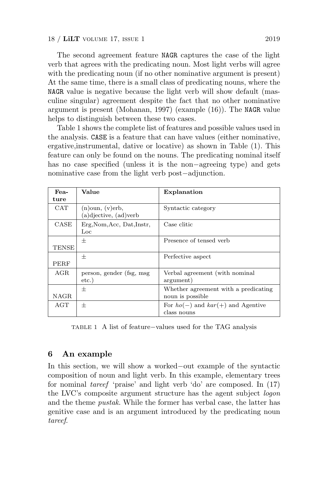The second agreement feature NAGR captures the case of the light verb that agrees with the predicating noun. Most light verbs will agree with the predicating noun (if no other nominative argument is present) At the same time, there is a small class of predicating nouns, where the NAGR value is negative because the light verb will show default (masculine singular) agreement despite the fact that no other nominative argument is present (Mohanan, 1997) (example (16)). The NAGR value helps to distinguish between these two cases.

Table 1 shows the complete list of features and possible values used in the analysis. CASE is a feature that can have values (either nominative, ergative,instrumental, dative or locative) as shown in Table (1). This feature can only be found on the nouns. The predicating nominal itself has no case specified (unless it is the non−agreeing type) and gets nominative case from the light verb post−adjunction.

| Fea-        | Value                                          | Explanation                           |
|-------------|------------------------------------------------|---------------------------------------|
| ture        |                                                |                                       |
| CAT         | $(n)$ oun, $(v)$ erb,<br>(a)djective, (ad)verb | Syntactic category                    |
| CASE        | Erg, Nom, Acc, Dat, Instr,<br>Loc              | Case clitic                           |
|             | 士                                              | Presence of tensed verb               |
| TENSE       |                                                |                                       |
|             | 士                                              | Perfective aspect                     |
| PERF        |                                                |                                       |
| AGR         | person, gender (fsg. msg)                      | Verbal agreement (with nominal        |
|             | $etc.$ )                                       | argument)                             |
|             | 士                                              | Whether agreement with a predicating  |
| <b>NAGR</b> |                                                | noun is possible.                     |
| AGT         | 士                                              | For $ho(-)$ and $kar(+)$ and Agentive |
|             |                                                | class nouns                           |

TABLE 1 A list of feature−values used for the TAG analysis

#### 6 An example

In this section, we will show a worked−out example of the syntactic composition of noun and light verb. In this example, elementary trees for nominal tareef 'praise' and light verb 'do' are composed. In (17) the LVC's composite argument structure has the agent subject logon and the theme pustak. While the former has verbal case, the latter has genitive case and is an argument introduced by the predicating noun tareef.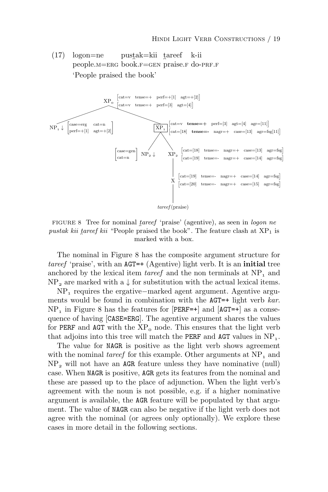(17) logon=ne people.M=ERG book.F=GEN praise.F do-PRF.F pustak=kii tareef k-ii 'People praised the book'



FIGURE 8 Tree for nominal tareef 'praise' (agentive), as seen in logon ne pustak kii tareef kii "People praised the book". The feature clash at  $XP_1$  is marked with a box.

The nominal in Figure 8 has the composite argument structure for tareef 'praise', with an  $AGT=+(Agentive)$  light verb. It is an initial tree anchored by the lexical item *tareef* and the non terminals at  $NP_1$  and  $NP_2$  are marked with a  $\downarrow$  for substitution with the actual lexical items.

NP<sub>1</sub> requires the ergative−marked agent argument. Agentive arguments would be found in combination with the AGT=+ light verb kar.  $NP_1$  in Figure 8 has the features for [PERF=+] and [AGT=+] as a consequence of having [CASE=ERG]. The agentive argument shares the values for PERF and AGT with the  $XP_0$  node. This ensures that the light verb that adjoins into this tree will match the **PERF** and  $\text{AGT}$  values in  $\text{NP}_1$ .

The value for NAGR is positive as the light verb shows agreement with the nominal *tareef* for this example. Other arguments at  $NP_1$  and  $NP<sub>2</sub>$  will not have an AGR feature unless they have nominative (null) case. When NAGR is positive, AGR gets its features from the nominal and these are passed up to the place of adjunction. When the light verb's agreement with the noun is not possible, e.g. if a higher nominative argument is available, the AGR feature will be populated by that argument. The value of NAGR can also be negative if the light verb does not agree with the nominal (or agrees only optionally). We explore these cases in more detail in the following sections.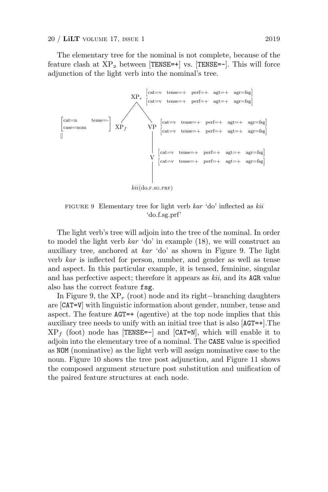The elementary tree for the nominal is not complete, because of the feature clash at  $XP_2$  between [TENSE=+] vs. [TENSE=-]. This will force adjunction of the light verb into the nominal's tree.



FIGURE 9 Elementary tree for light verb kar 'do' inflected as kii 'do.f.sg.prf'

The light verb's tree will adjoin into the tree of the nominal. In order to model the light verb  $kar$  'do' in example (18), we will construct an auxiliary tree, anchored at kar 'do' as shown in Figure 9. The light verb kar is inflected for person, number, and gender as well as tense and aspect. In this particular example, it is tensed, feminine, singular and has perfective aspect; therefore it appears as kii, and its AGR value also has the correct feature fsg.

In Figure 9, the  $XP_r$  (root) node and its right–branching daughters are [CAT=V] with linguistic information about gender, number, tense and aspect. The feature AGT=+ (agentive) at the top node implies that this auxiliary tree needs to unify with an initial tree that is also [AGT=+].The  $XP_f$  (foot) node has [TENSE=-] and [CAT=N], which will enable it to adjoin into the elementary tree of a nominal. The CASE value is specified as NOM (nominative) as the light verb will assign nominative case to the noun. Figure 10 shows the tree post adjunction, and Figure 11 shows the composed argument structure post substitution and unification of the paired feature structures at each node.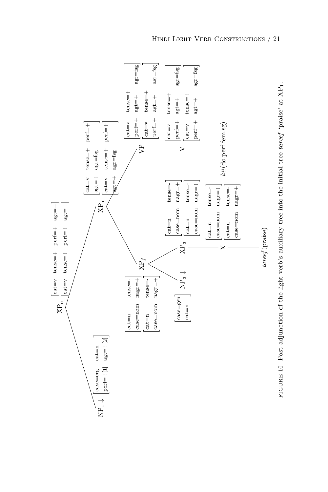

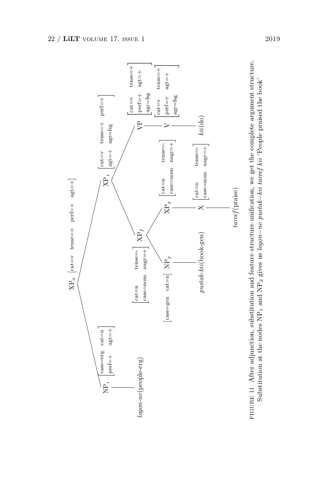

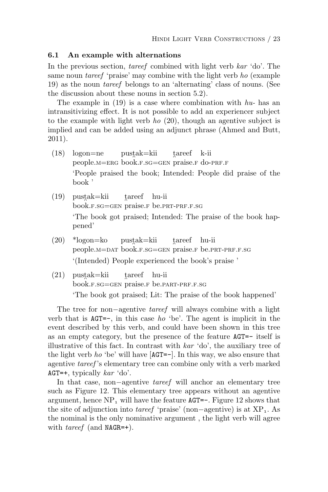#### 6.1 An example with alternations

In the previous section, *tareef* combined with light verb kar 'do'. The same noun *tareef* 'praise' may combine with the light verb ho (example 19) as the noun tareef belongs to an 'alternating' class of nouns. (See the discussion about these nouns in section 5.2).

The example in  $(19)$  is a case where combination with  $hu$ - has an intransitivizing effect. It is not possible to add an experiencer subject to the example with light verb ho  $(20)$ , though an agentive subject is implied and can be added using an adjunct phrase (Ahmed and Butt, 2011).

- (18) logon=ne people.M=ERG book.F.SG=GEN praise.F do-PRF.F pustak=kii tareef k-ii 'People praised the book; Intended: People did praise of the book '
- $(19)$  pustak=kii book.f.sg=gen praise.f be.prt-prf.f.sg tareef hu-ii 'The book got praised; Intended: The praise of the book happened'
- $(20)$  \*logon=ko people.m=dat book.f.sg=gen praise.f be.prt-prf.f.sg  $pustak=kii$ tareef hu-ii '(Intended) People experienced the book's praise '
- $(21)$  pustak=kii book.f.sg=gen praise.f be.part-prf.f.sg tareef hu-ii 'The book got praised; Lit: The praise of the book happened'

The tree for non−agentive tareef will always combine with a light verb that is  $AGT=-$ , in this case *ho* 'be'. The agent is implicit in the event described by this verb, and could have been shown in this tree as an empty category, but the presence of the feature AGT=- itself is illustrative of this fact. In contrast with kar 'do', the auxiliary tree of the light verb *ho* 'be' will have  $[AGT=-]$ . In this way, we also ensure that agentive tareef 's elementary tree can combine only with a verb marked  $AGT=+,$  typically  $kar$  'do'.

In that case, non−agentive tareef will anchor an elementary tree such as Figure 12. This elementary tree appears without an agentive argument, hence  $NP_1$  will have the feature AGT=-. Figure 12 shows that the site of adjunction into *tareef* 'praise' (non-agentive) is at  $XP_1$ . As the nominal is the only nominative argument , the light verb will agree with  $tareef$  (and NAGR=+).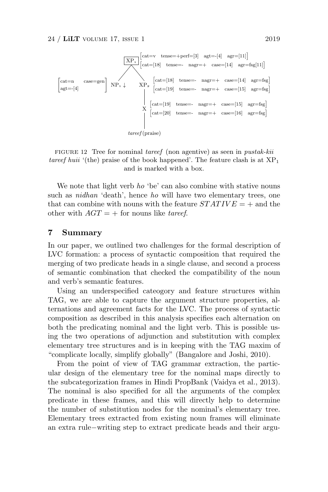

FIGURE 12 Tree for nominal tareef (non agentive) as seen in pustak-kii tareef huii '(the) praise of the book happened'. The feature clash is at  $XP_1$ and is marked with a box.

We note that light verb ho 'be' can also combine with stative nouns such as nidhan 'death', hence ho will have two elementary trees, one that can combine with nouns with the feature  $STATIVE = +$  and the other with  $AGT = +$  for nouns like tareef.

#### 7 Summary

In our paper, we outlined two challenges for the formal description of LVC formation: a process of syntactic composition that required the merging of two predicate heads in a single clause, and second a process of semantic combination that checked the compatibility of the noun and verb's semantic features.

Using an underspecified cateogory and feature structures within TAG, we are able to capture the argument structure properties, alternations and agreement facts for the LVC. The process of syntactic composition as described in this analysis specifies each alternation on both the predicating nominal and the light verb. This is possible using the two operations of adjunction and substitution with complex elementary tree structures and is in keeping with the TAG maxim of "complicate locally, simplify globally" (Bangalore and Joshi, 2010).

From the point of view of TAG grammar extraction, the particular design of the elementary tree for the nominal maps directly to the subcategorization frames in Hindi PropBank (Vaidya et al., 2013). The nominal is also specified for all the arguments of the complex predicate in these frames, and this will directly help to determine the number of substitution nodes for the nominal's elementary tree. Elementary trees extracted from existing noun frames will eliminate an extra rule−writing step to extract predicate heads and their argu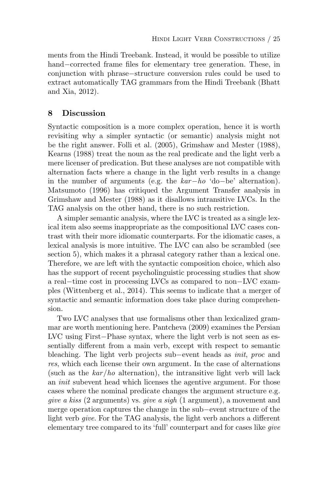ments from the Hindi Treebank. Instead, it would be possible to utilize hand−corrected frame files for elementary tree generation. These, in conjunction with phrase−structure conversion rules could be used to extract automatically TAG grammars from the Hindi Treebank (Bhatt and Xia, 2012).

# 8 Discussion

Syntactic composition is a more complex operation, hence it is worth revisiting why a simpler syntactic (or semantic) analysis might not be the right answer. Folli et al. (2005), Grimshaw and Mester (1988), Kearns (1988) treat the noun as the real predicate and the light verb a mere licenser of predication. But these analyses are not compatible with alternation facts where a change in the light verb results in a change in the number of arguments (e.g. the kar−ho 'do−be' alternation). Matsumoto (1996) has critiqued the Argument Transfer analysis in Grimshaw and Mester (1988) as it disallows intransitive LVCs. In the TAG analysis on the other hand, there is no such restriction.

A simpler semantic analysis, where the LVC is treated as a single lexical item also seems inappropriate as the compositional LVC cases contrast with their more idiomatic counterparts. For the idiomatic cases, a lexical analysis is more intuitive. The LVC can also be scrambled (see section 5), which makes it a phrasal category rather than a lexical one. Therefore, we are left with the syntactic composition choice, which also has the support of recent psycholinguistic processing studies that show a real−time cost in processing LVCs as compared to non−LVC examples (Wittenberg et al., 2014). This seems to indicate that a merger of syntactic and semantic information does take place during comprehension.

Two LVC analyses that use formalisms other than lexicalized grammar are worth mentioning here. Pantcheva (2009) examines the Persian LVC using First−Phase syntax, where the light verb is not seen as essentially different from a main verb, except with respect to semantic bleaching. The light verb projects sub−event heads as init, proc and res, which each license their own argument. In the case of alternations (such as the  $kar/ho$  alternation), the intransitive light verb will lack an init subevent head which licenses the agentive argument. For those cases where the nominal predicate changes the argument structure e.g. give a kiss (2 arguments) vs. give a sigh (1 argument), a movement and merge operation captures the change in the sub−event structure of the light verb give. For the TAG analysis, the light verb anchors a different elementary tree compared to its 'full' counterpart and for cases like give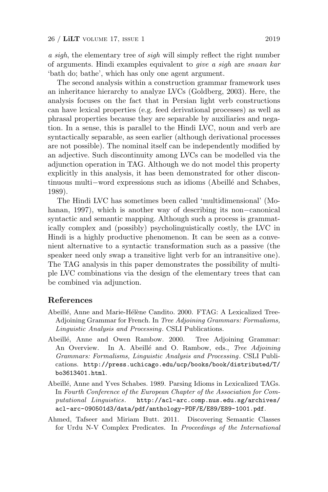a sigh, the elementary tree of sigh will simply reflect the right number of arguments. Hindi examples equivalent to give a sigh are snaan kar 'bath do; bathe', which has only one agent argument.

The second analysis within a construction grammar framework uses an inheritance hierarchy to analyze LVCs (Goldberg, 2003). Here, the analysis focuses on the fact that in Persian light verb constructions can have lexical properties (e.g. feed derivational processes) as well as phrasal properties because they are separable by auxiliaries and negation. In a sense, this is parallel to the Hindi LVC, noun and verb are syntactically separable, as seen earlier (although derivational processes are not possible). The nominal itself can be independently modified by an adjective. Such discontinuity among LVCs can be modelled via the adjunction operation in TAG. Although we do not model this property explicitly in this analysis, it has been demonstrated for other discontinuous multi−word expressions such as idioms (Abeill´e and Schabes, 1989).

The Hindi LVC has sometimes been called 'multidimensional' (Mohanan, 1997), which is another way of describing its non−canonical syntactic and semantic mapping. Although such a process is grammatically complex and (possibly) psycholinguistically costly, the LVC in Hindi is a highly productive phenomenon. It can be seen as a convenient alternative to a syntactic transformation such as a passive (the speaker need only swap a transitive light verb for an intransitive one). The TAG analysis in this paper demonstrates the possibility of multiple LVC combinations via the design of the elementary trees that can be combined via adjunction.

## References

- Abeillé, Anne and Marie-Hélène Candito. 2000. FTAG: A Lexicalized Tree-Adjoining Grammar for French. In Tree Adjoining Grammars: Formalisms, Linguistic Analysis and Processing. CSLI Publications.
- Abeillé, Anne and Owen Rambow. 2000. Tree Adjoining Grammar: An Overview. In A. Abeillé and O. Rambow, eds., Tree Adjoining Grammars: Formalisms, Linguistic Analysis and Processing . CSLI Publications. http://press.uchicago.edu/ucp/books/book/distributed/T/ bo3613401.html.
- Abeill´e, Anne and Yves Schabes. 1989. Parsing Idioms in Lexicalized TAGs. In Fourth Conference of the European Chapter of the Association for Computational Linguistics. http://acl-arc.comp.nus.edu.sg/archives/ acl-arc-090501d3/data/pdf/anthology-PDF/E/E89/E89-1001.pdf.
- Ahmed, Tafseer and Miriam Butt. 2011. Discovering Semantic Classes for Urdu N-V Complex Predicates. In Proceedings of the International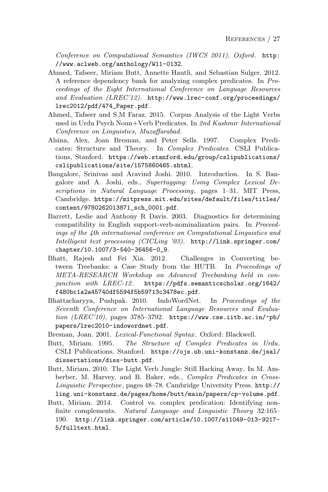Conference on Computational Semantics (IWCS 2011), Oxford. http: //www.aclweb.org/anthology/W11-0132.

- Ahmed, Tafseer, Miriam Butt, Annette Hautli, and Sebastian Sulger. 2012. A reference dependency bank for analyzing complex predicates. In Proceedings of the Eight International Conference on Language Resources and Evaluation (LREC'12). http://www.lrec-conf.org/proceedings/ lrec2012/pdf/474\_Paper.pdf.
- Ahmed, Tafseer and S.M Faraz. 2015. Corpus Analysis of the Light Verbs used in Urdu Psych Noun+Verb Predicates. In 2nd Kashmir International Conference on Linguistics, Muzaffarabad.
- Alsina, Alex, Joan Bresnan, and Peter Sells. 1997. Complex Predicates: Structure and Theory. In Complex Predicates. CSLI Publications, Stanford. https://web.stanford.edu/group/cslipublications/ cslipublications/site/1575860465.shtml.
- Bangalore, Srinivas and Aravind Joshi. 2010. Introduction. In S. Bangalore and A. Joshi, eds., Supertagging: Using Complex Lexical Descriptions in Natural Language Processing, pages 1–31. MIT Press, Cambridge. https://mitpress.mit.edu/sites/default/files/titles/ content/9780262013871\_sch\_0001.pdf.
- Barrett, Leslie and Anthony R Davis. 2003. Diagnostics for determining compatibility in English support-verb-nominalization pairs. In Proceedings of the 4th international conference on Computational Linguistics and Intelligent text processing (CICLing '03). http://link.springer.com/ chapter/10.1007/3-540-36456-0\_9.
- Bhatt, Rajesh and Fei Xia. 2012. Challenges in Converting between Treebanks: a Case Study from the HUTB. In Proceedings of META-RESEARCH Workshop on Advanced Treebanking held in conjunction with  $LREC-12$ . https://pdfs.semanticscholar.org/1642/ f480bc1a2a45740df5594f5b59713c3478ec.pdf.
- Bhattacharyya, Pushpak. 2010. IndoWordNet. In Proceedings of the Seventh Conference on International Language Resources and Evaluation  $(LREC'10)$ , pages 3785-3792. https://www.cse.iitb.ac.in/~pb/ papers/lrec2010-indowordnet.pdf.
- Bresnan, Joan. 2001. Lexical-Functional Syntax. Oxford: Blackwell.
- Butt, Miriam. 1995. The Structure of Complex Predicates in Urdu. CSLI Publications, Stanford. https://ojs.ub.uni-konstanz.de/jsal/ dissertations/diss-butt.pdf.
- Butt, Miriam. 2010. The Light Verb Jungle: Still Hacking Away. In M. Amberber, M. Harvey, and B. Baker, eds., Complex Predicates in Cross-Linguistic Perspective, pages 48–78. Cambridge University Press. http:// ling.uni-konstanz.de/pages/home/butt/main/papers/cp-volume.pdf.
- Butt, Miriam. 2014. Control vs. complex predication: Identifying nonfinite complements. Natural Language and Linguistic Theory 32:165– 190. http://link.springer.com/article/10.1007/s11049-013-9217- 5/fulltext.html.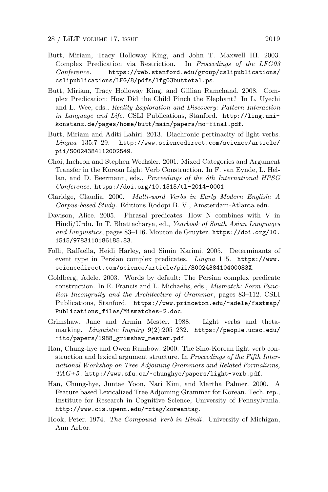- Butt, Miriam, Tracy Holloway King, and John T. Maxwell III. 2003. Complex Predication via Restriction. In Proceedings of the LFG03 Conference. https://web.stanford.edu/group/cslipublications/ cslipublications/LFG/8/pdfs/lfg03buttetal.ps.
- Butt, Miriam, Tracy Holloway King, and Gillian Ramchand. 2008. Complex Predication: How Did the Child Pinch the Elephant? In L. Uyechi and L. Wee, eds., Reality Exploration and Discovery: Pattern Interaction in Language and Life. CSLI Publications, Stanford. http://ling.unikonstanz.de/pages/home/butt/main/papers/mo-final.pdf.
- Butt, Miriam and Aditi Lahiri. 2013. Diachronic pertinacity of light verbs. Lingua 135:7–29. http://www.sciencedirect.com/science/article/ pii/S0024384112002549.
- Choi, Incheon and Stephen Wechsler. 2001. Mixed Categories and Argument Transfer in the Korean Light Verb Construction. In F. van Eynde, L. Hellan, and D. Beermann, eds., *Proceedings of the 8th International HPSG* Conference. https://doi.org/10.1515/tl-2014-0001.
- Claridge, Claudia. 2000. Multi-word Verbs in Early Modern English: A Corpus-based Study. Editions Rodopi B. V., Amsterdam-Atlanta edn.
- Davison, Alice. 2005. Phrasal predicates: How N combines with V in Hindi/Urdu. In T. Bhattacharya, ed., Yearbook of South Asian Languages and Linguistics, pages 83-116. Mouton de Gruyter. https://doi.org/10. 1515/9783110186185.83.
- Folli, Raffaella, Heidi Harley, and Simin Karimi. 2005. Determinants of event type in Persian complex predicates. Lingua 115. https://www. sciencedirect.com/science/article/pii/S002438410400083X.
- Goldberg, Adele. 2003. Words by default: The Persian complex predicate construction. In E. Francis and L. Michaelis, eds., Mismatch: Form Function Incongruity and the Architecture of Grammar, pages 83–112. CSLI Publications, Stanford. https://www.princeton.edu/~adele/fastmap/ Publications\_files/Mismatches-2.doc.
- Grimshaw, Jane and Armin Mester. 1988. Light verbs and thetamarking. Linguistic Inquiry 9(2):205–232. https://people.ucsc.edu/ ~ito/papers/1988\_grimshaw\_mester.pdf.
- Han, Chung-hye and Owen Rambow. 2000. The Sino-Korean light verb construction and lexical argument structure. In Proceedings of the Fifth International Workshop on Tree-Adjoining Grammars and Related Formalisms,  $TAG+5$ . http://www.sfu.ca/~chunghye/papers/light-verb.pdf.
- Han, Chung-hye, Juntae Yoon, Nari Kim, and Martha Palmer. 2000. A Feature based Lexicalized Tree Adjoining Grammar for Korean. Tech. rep., Institute for Research in Cognitive Science, University of Pennsylvania. http://www.cis.upenn.edu/~xtag/koreantag.
- Hook, Peter. 1974. The Compound Verb in Hindi. University of Michigan, Ann Arbor.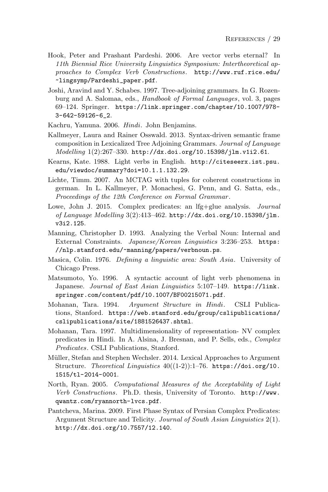- Hook, Peter and Prashant Pardeshi. 2006. Are vector verbs eternal? In 11th Biennial Rice University Linguistics Symposium: Intertheoretical approaches to Complex Verb Constructions. http://www.ruf.rice.edu/ ~lingsymp/Pardeshi\_paper.pdf.
- Joshi, Aravind and Y. Schabes. 1997. Tree-adjoining grammars. In G. Rozenburg and A. Salomaa, eds., Handbook of Formal Languages, vol. 3, pages 69–124. Springer. https://link.springer.com/chapter/10.1007/978- 3-642-59126-6\_2.
- Kachru, Yamuna. 2006. Hindi. John Benjamins.
- Kallmeyer, Laura and Rainer Osswald. 2013. Syntax-driven semantic frame composition in Lexicalized Tree Adjoining Grammars. Journal of Language Modelling 1(2):267–330. http://dx.doi.org/10.15398/jlm.v1i2.61.
- Kearns, Kate. 1988. Light verbs in English. http://citeseerx.ist.psu. edu/viewdoc/summary?doi=10.1.1.132.29.
- Lichte, Timm. 2007. An MCTAG with tuples for coherent constructions in german. In L. Kallmeyer, P. Monachesi, G. Penn, and G. Satta, eds., Proceedings of the 12th Conference on Formal Grammar .
- Lowe, John J. 2015. Complex predicates: an lfg+glue analysis. Journal of Language Modelling 3(2):413–462. http://dx.doi.org/10.15398/jlm. v3i2.125.
- Manning, Christopher D. 1993. Analyzing the Verbal Noun: Internal and External Constraints. Japanese/Korean Linguistics 3:236–253. https: //nlp.stanford.edu/~manning/papers/verbnoun.ps.
- Masica, Colin. 1976. Defining a linguistic area: South Asia. University of Chicago Press.
- Matsumoto, Yo. 1996. A syntactic account of light verb phenomena in Japanese. Journal of East Asian Linguistics 5:107–149. https://link. springer.com/content/pdf/10.1007/BF00215071.pdf.
- Mohanan, Tara. 1994. Argument Structure in Hindi. CSLI Publications, Stanford. https://web.stanford.edu/group/cslipublications/ cslipublications/site/1881526437.shtml.
- Mohanan, Tara. 1997. Multidimensionality of representation- NV complex predicates in Hindi. In A. Alsina, J. Bresnan, and P. Sells, eds., Complex Predicates. CSLI Publications, Stanford.
- Müller, Stefan and Stephen Wechsler. 2014. Lexical Approaches to Argument Structure. Theoretical Linguistics  $40((1-2))$ :1-76. https://doi.org/10. 1515/tl-2014-0001.
- North, Ryan. 2005. Computational Measures of the Acceptability of Light Verb Constructions. Ph.D. thesis, University of Toronto. http://www. qwantz.com/ryannorth-lvcs.pdf.
- Pantcheva, Marina. 2009. First Phase Syntax of Persian Complex Predicates: Argument Structure and Telicity. Journal of South Asian Linguistics 2(1). http://dx.doi.org/10.7557/12.140.